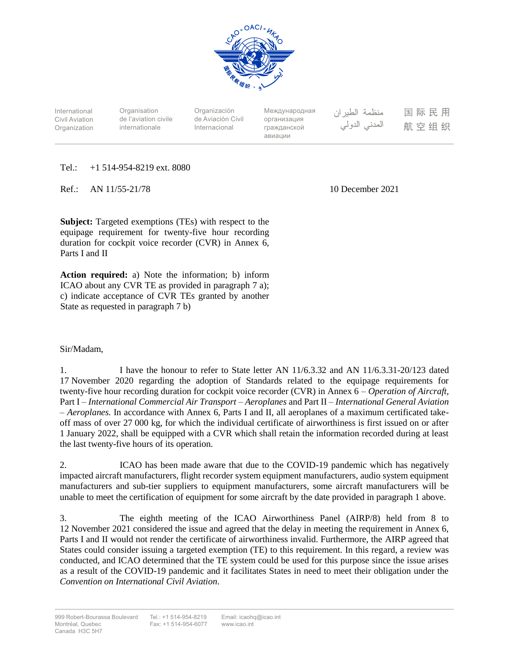

International Civil Aviation **Organization** 

**Organisation** de l'aviation civile internationale

Organización de Aviación Civil Internacional

Международная организация гражданской авиации

منظمة الطيران المدنى الدولى

国际民用 航空组织

Tel.: +1 514-954-8219 ext. 8080

Ref.: AN 11/55-21/78 10 December 2021

**Subject:** Targeted exemptions (TEs) with respect to the equipage requirement for twenty-five hour recording duration for cockpit voice recorder (CVR) in Annex 6, Parts I and II

**Action required:** a) Note the information; b) inform ICAO about any CVR TE as provided in paragraph 7 a); c) indicate acceptance of CVR TEs granted by another State as requested in paragraph 7 b)

## Sir/Madam,

1. I have the honour to refer to State letter AN 11/6.3.32 and AN 11/6.3.31-20/123 dated 17 November 2020 regarding the adoption of Standards related to the equipage requirements for twenty-five hour recording duration for cockpit voice recorder (CVR) in Annex 6 – *Operation of Aircraft,* Part I – *International Commercial Air Transport* – *Aeroplanes* and Part II – *International General Aviation* – *Aeroplanes.* In accordance with Annex 6, Parts I and II, all aeroplanes of a maximum certificated takeoff mass of over 27 000 kg, for which the individual certificate of airworthiness is first issued on or after 1 January 2022, shall be equipped with a CVR which shall retain the information recorded during at least the last twenty-five hours of its operation.

2. ICAO has been made aware that due to the COVID-19 pandemic which has negatively impacted aircraft manufacturers, flight recorder system equipment manufacturers, audio system equipment manufacturers and sub-tier suppliers to equipment manufacturers, some aircraft manufacturers will be unable to meet the certification of equipment for some aircraft by the date provided in paragraph 1 above.

3. The eighth meeting of the ICAO Airworthiness Panel (AIRP/8) held from 8 to 12 November 2021 considered the issue and agreed that the delay in meeting the requirement in Annex 6, Parts I and II would not render the certificate of airworthiness invalid. Furthermore, the AIRP agreed that States could consider issuing a targeted exemption (TE) to this requirement. In this regard, a review was conducted, and ICAO determined that the TE system could be used for this purpose since the issue arises as a result of the COVID-19 pandemic and it facilitates States in need to meet their obligation under the *Convention on International Civil Aviation*.